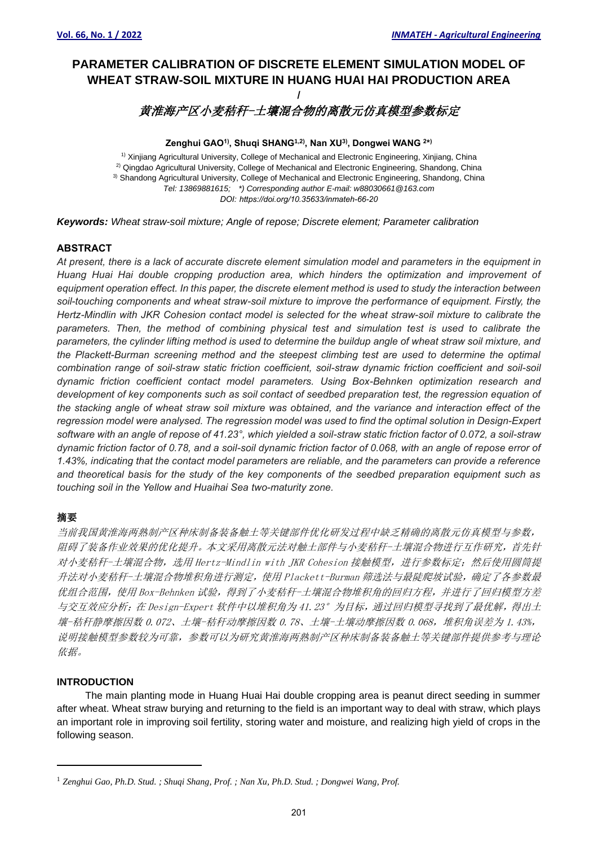# **PARAMETER CALIBRATION OF DISCRETE ELEMENT SIMULATION MODEL OF WHEAT STRAW-SOIL MIXTURE IN HUANG HUAI HAI PRODUCTION AREA**

# **/** 黄淮海产区小麦秸秆-土壤混合物的离散元仿真模型参数标定

## **Zenghui GAO1) , Shuqi SHANG1,2) , Nan XU3) , Dongwei WANG <sup>2</sup> \* )**

1) Xinjiang Agricultural University, College of Mechanical and Electronic Engineering, Xinjiang, China <sup>2)</sup> Qingdao Agricultural University, College of Mechanical and Electronic Engineering, Shandong, China <sup>3)</sup> Shandong Agricultural University, College of Mechanical and Electronic Engineering, Shandong, China *Tel: 13869881615; \*) Corresponding author E-mail: w88030661@163.com DOI: https://doi.org/10.35633/inmateh-66-20*

*Keywords: Wheat straw-soil mixture; Angle of repose; Discrete element; Parameter calibration*

# **ABSTRACT**

*At present, there is a lack of accurate discrete element simulation model and parameters in the equipment in Huang Huai Hai double cropping production area, which hinders the optimization and improvement of equipment operation effect. In this paper, the discrete element method is used to study the interaction between soil-touching components and wheat straw-soil mixture to improve the performance of equipment. Firstly, the Hertz-Mindlin with JKR Cohesion contact model is selected for the wheat straw-soil mixture to calibrate the parameters. Then, the method of combining physical test and simulation test is used to calibrate the parameters, the cylinder lifting method is used to determine the buildup angle of wheat straw soil mixture, and the Plackett-Burman screening method and the steepest climbing test are used to determine the optimal combination range of soil-straw static friction coefficient, soil-straw dynamic friction coefficient and soil-soil dynamic friction coefficient contact model parameters. Using Box-Behnken optimization research and development of key components such as soil contact of seedbed preparation test, the regression equation of the stacking angle of wheat straw soil mixture was obtained, and the variance and interaction effect of the regression model were analysed. The regression model was used to find the optimal solution in Design-Expert software with an angle of repose of 41.23°, which yielded a soil-straw static friction factor of 0.072, a soil-straw dynamic friction factor of 0.78, and a soil-soil dynamic friction factor of 0.068, with an angle of repose error of 1.43%, indicating that the contact model parameters are reliable, and the parameters can provide a reference and theoretical basis for the study of the key components of the seedbed preparation equipment such as touching soil in the Yellow and Huaihai Sea two-maturity zone.*

# 摘要

当前我国黄淮海两熟制产区种床制备装备触土等关键部件优化研发过程中缺乏精确的离散元仿真模型与参数, 阻碍了装备作业效果的优化提升。本文采用离散元法对触土部件与小麦秸秆-土壤混合物进行互作研究,首先针 对小麦秸秆-土壤混合物,选用 Hertz-Mindlin with JKR Cohesion 接触模型,进行参数标定;然后使用圆筒提 升法对小麦秸秆-土壤混合物堆积角进行测定,使用 Plackett-Burman 筛选法与最陡爬坡试验,确定了各参数最 优组合范围,使用 Box-Behnken 试验, 得到了小麦秸秆-土壤混合物堆积角的回归方程,并进行了回归模型方差 与交互效应分析; 在 Design-Expert 软件中以堆积角为 41.23°为目标, 通过回归模型寻找到了最优解, 得出土 壤-秸秆静摩擦因数 0.072、土壤-秸秆动摩擦因数 0.78、土壤-土壤动摩擦因数 0.068,堆积角误差为 1.43%, 说明接触模型参数较为可靠,参数可以为研究黄淮海两熟制产区种床制备装备触土等关键部件提供参考与理论 依据。

# **INTRODUCTION**

The main planting mode in Huang Huai Hai double cropping area is peanut direct seeding in summer after wheat. Wheat straw burying and returning to the field is an important way to deal with straw, which plays an important role in improving soil fertility, storing water and moisture, and realizing high yield of crops in the following season.

<sup>1</sup> *Zenghui Gao, Ph.D. Stud. ; Shuqi Shang, Prof. ; Nan Xu, Ph.D. Stud. ; Dongwei Wang, Prof.*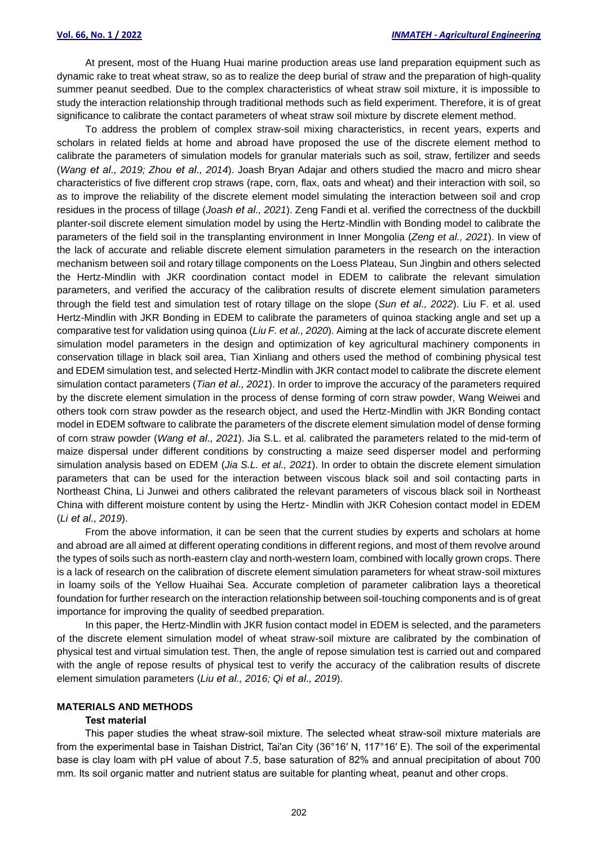At present, most of the Huang Huai marine production areas use land preparation equipment such as dynamic rake to treat wheat straw, so as to realize the deep burial of straw and the preparation of high-quality summer peanut seedbed. Due to the complex characteristics of wheat straw soil mixture, it is impossible to study the interaction relationship through traditional methods such as field experiment. Therefore, it is of great significance to calibrate the contact parameters of wheat straw soil mixture by discrete element method.

To address the problem of complex straw-soil mixing characteristics, in recent years, experts and scholars in related fields at home and abroad have proposed the use of the discrete element method to calibrate the parameters of simulation models for granular materials such as soil, straw, fertilizer and seeds (*Wang et al., 2019; Zhou et al., 2014*). Joash Bryan Adajar and others studied the macro and micro shear characteristics of five different crop straws (rape, corn, flax, oats and wheat) and their interaction with soil, so as to improve the reliability of the discrete element model simulating the interaction between soil and crop residues in the process of tillage (*Joash et al., 2021*). Zeng Fandi et al. verified the correctness of the duckbill planter-soil discrete element simulation model by using the Hertz-Mindlin with Bonding model to calibrate the parameters of the field soil in the transplanting environment in Inner Mongolia (*Zeng et al., 2021*). In view of the lack of accurate and reliable discrete element simulation parameters in the research on the interaction mechanism between soil and rotary tillage components on the Loess Plateau, Sun Jingbin and others selected the Hertz-Mindlin with JKR coordination contact model in EDEM to calibrate the relevant simulation parameters, and verified the accuracy of the calibration results of discrete element simulation parameters through the field test and simulation test of rotary tillage on the slope (*Sun et al., 2022*). Liu F. et al. used Hertz-Mindlin with JKR Bonding in EDEM to calibrate the parameters of quinoa stacking angle and set up a comparative test for validation using quinoa (*Liu F. et al., 2020*). Aiming at the lack of accurate discrete element simulation model parameters in the design and optimization of key agricultural machinery components in conservation tillage in black soil area, Tian Xinliang and others used the method of combining physical test and EDEM simulation test, and selected Hertz-Mindlin with JKR contact model to calibrate the discrete element simulation contact parameters (*Tian et al., 2021*). In order to improve the accuracy of the parameters required by the discrete element simulation in the process of dense forming of corn straw powder, Wang Weiwei and others took corn straw powder as the research object, and used the Hertz-Mindlin with JKR Bonding contact model in EDEM software to calibrate the parameters of the discrete element simulation model of dense forming of corn straw powder (*Wang et al., 2021*). Jia S.L. et al. calibrated the parameters related to the mid-term of maize dispersal under different conditions by constructing a maize seed disperser model and performing simulation analysis based on EDEM (*Jia S.L. et al., 2021*). In order to obtain the discrete element simulation parameters that can be used for the interaction between viscous black soil and soil contacting parts in Northeast China, Li Junwei and others calibrated the relevant parameters of viscous black soil in Northeast China with different moisture content by using the Hertz- Mindlin with JKR Cohesion contact model in EDEM (*Li et al., 2019*).

From the above information, it can be seen that the current studies by experts and scholars at home and abroad are all aimed at different operating conditions in different regions, and most of them revolve around the types of soils such as north-eastern clay and north-western loam, combined with locally grown crops. There is a lack of research on the calibration of discrete element simulation parameters for wheat straw-soil mixtures in loamy soils of the Yellow Huaihai Sea. Accurate completion of parameter calibration lays a theoretical foundation for further research on the interaction relationship between soil-touching components and is of great importance for improving the quality of seedbed preparation.

In this paper, the Hertz-Mindlin with JKR fusion contact model in EDEM is selected, and the parameters of the discrete element simulation model of wheat straw-soil mixture are calibrated by the combination of physical test and virtual simulation test. Then, the angle of repose simulation test is carried out and compared with the angle of repose results of physical test to verify the accuracy of the calibration results of discrete element simulation parameters (*Liu et al., 2016; Qi et al., 2019*).

#### **MATERIALS AND METHODS**

## **Test material**

This paper studies the wheat straw-soil mixture. The selected wheat straw-soil mixture materials are from the experimental base in Taishan District, Tai'an City (36°16′ N, 117°16′ E). The soil of the experimental base is clay loam with pH value of about 7.5, base saturation of 82% and annual precipitation of about 700 mm. Its soil organic matter and nutrient status are suitable for planting wheat, peanut and other crops.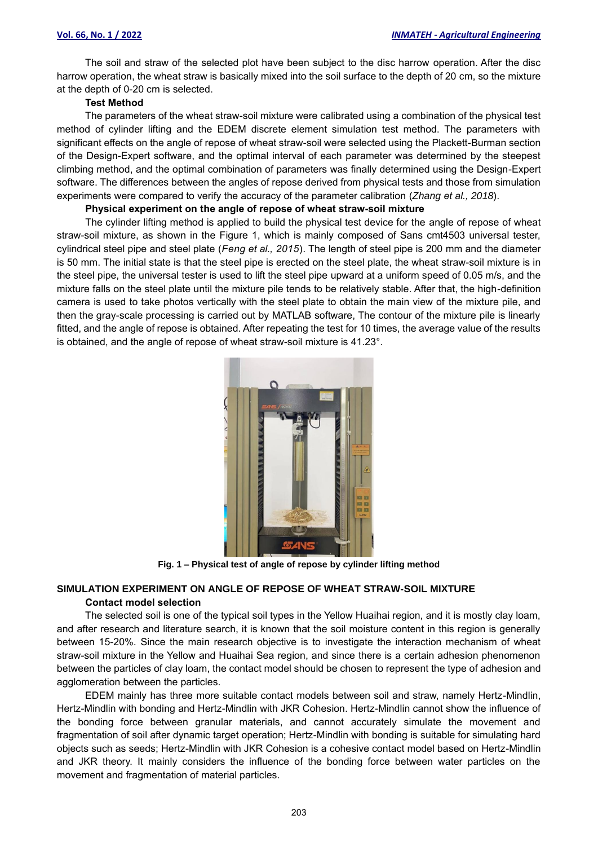The soil and straw of the selected plot have been subject to the disc harrow operation. After the disc harrow operation, the wheat straw is basically mixed into the soil surface to the depth of 20 cm, so the mixture at the depth of 0-20 cm is selected.

## **Test Method**

The parameters of the wheat straw-soil mixture were calibrated using a combination of the physical test method of cylinder lifting and the EDEM discrete element simulation test method. The parameters with significant effects on the angle of repose of wheat straw-soil were selected using the Plackett-Burman section of the Design-Expert software, and the optimal interval of each parameter was determined by the steepest climbing method, and the optimal combination of parameters was finally determined using the Design-Expert software. The differences between the angles of repose derived from physical tests and those from simulation experiments were compared to verify the accuracy of the parameter calibration (*Zhang et al., 2018*).

## **Physical experiment on the angle of repose of wheat straw-soil mixture**

The cylinder lifting method is applied to build the physical test device for the angle of repose of wheat straw-soil mixture, as shown in the Figure 1, which is mainly composed of Sans cmt4503 universal tester, cylindrical steel pipe and steel plate (*Feng et al., 2015*). The length of steel pipe is 200 mm and the diameter is 50 mm. The initial state is that the steel pipe is erected on the steel plate, the wheat straw-soil mixture is in the steel pipe, the universal tester is used to lift the steel pipe upward at a uniform speed of 0.05 m/s, and the mixture falls on the steel plate until the mixture pile tends to be relatively stable. After that, the high-definition camera is used to take photos vertically with the steel plate to obtain the main view of the mixture pile, and then the gray-scale processing is carried out by MATLAB software, The contour of the mixture pile is linearly fitted, and the angle of repose is obtained. After repeating the test for 10 times, the average value of the results is obtained, and the angle of repose of wheat straw-soil mixture is 41.23°.



**Fig. 1 – Physical test of angle of repose by cylinder lifting method**

# **SIMULATION EXPERIMENT ON ANGLE OF REPOSE OF WHEAT STRAW-SOIL MIXTURE Contact model selection**

The selected soil is one of the typical soil types in the Yellow Huaihai region, and it is mostly clay loam, and after research and literature search, it is known that the soil moisture content in this region is generally between 15-20%. Since the main research objective is to investigate the interaction mechanism of wheat straw-soil mixture in the Yellow and Huaihai Sea region, and since there is a certain adhesion phenomenon between the particles of clay loam, the contact model should be chosen to represent the type of adhesion and agglomeration between the particles.

EDEM mainly has three more suitable contact models between soil and straw, namely Hertz-Mindlin, Hertz-Mindlin with bonding and Hertz-Mindlin with JKR Cohesion. Hertz-Mindlin cannot show the influence of the bonding force between granular materials, and cannot accurately simulate the movement and fragmentation of soil after dynamic target operation; Hertz-Mindlin with bonding is suitable for simulating hard objects such as seeds; Hertz-Mindlin with JKR Cohesion is a cohesive contact model based on Hertz-Mindlin and JKR theory. It mainly considers the influence of the bonding force between water particles on the movement and fragmentation of material particles.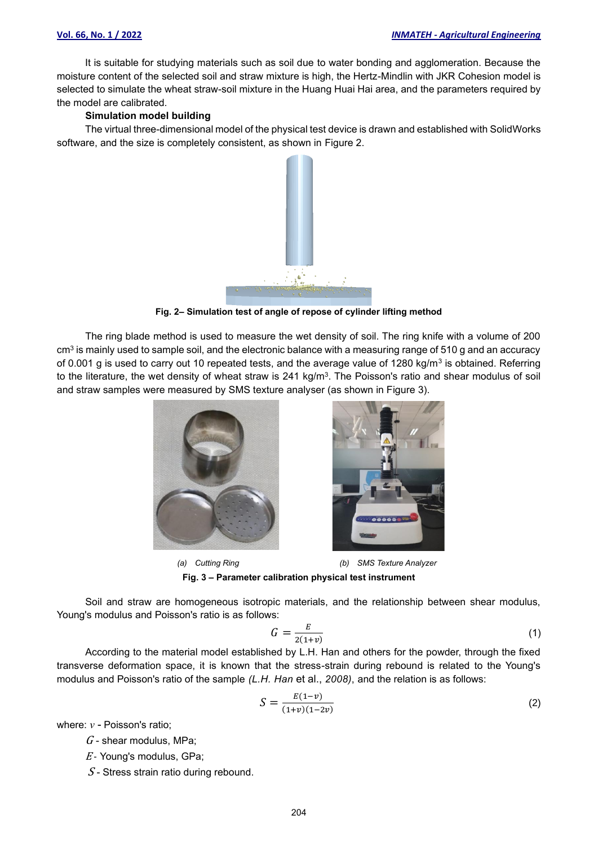It is suitable for studying materials such as soil due to water bonding and agglomeration. Because the moisture content of the selected soil and straw mixture is high, the Hertz-Mindlin with JKR Cohesion model is selected to simulate the wheat straw-soil mixture in the Huang Huai Hai area, and the parameters required by the model are calibrated.

#### **Simulation model building**

The virtual three-dimensional model of the physical test device is drawn and established with SolidWorks software, and the size is completely consistent, as shown in Figure 2.



**Fig. 2– Simulation test of angle of repose of cylinder lifting method**

The ring blade method is used to measure the wet density of soil. The ring knife with a volume of 200  $cm<sup>3</sup>$  is mainly used to sample soil, and the electronic balance with a measuring range of 510 g and an accuracy of 0.001 g is used to carry out 10 repeated tests, and the average value of 1280 kg/m<sup>3</sup> is obtained. Referring to the literature, the wet density of wheat straw is 241 kg/m<sup>3</sup>. The Poisson's ratio and shear modulus of soil and straw samples were measured by SMS texture analyser (as shown in Figure 3).





 *(a) Cutting Ring (b) SMS Texture Analyzer* **Fig. 3 – Parameter calibration physical test instrument**

Soil and straw are homogeneous isotropic materials, and the relationship between shear modulus, Young's modulus and Poisson's ratio is as follows:

$$
G = \frac{E}{2(1+v)}\tag{1}
$$

According to the material model established by L.H. Han and others for the powder, through the fixed transverse deformation space, it is known that the stress-strain during rebound is related to the Young's modulus and Poisson's ratio of the sample *(L.H. Han* et al., *2008)*, and the relation is as follows:

$$
S = \frac{E(1-v)}{(1+v)(1-2v)}\tag{2}
$$

where: *v* - Poisson's ratio;

- $G$  shear modulus, MPa;
- $E$  Young's modulus, GPa;
- $S$  Stress strain ratio during rebound.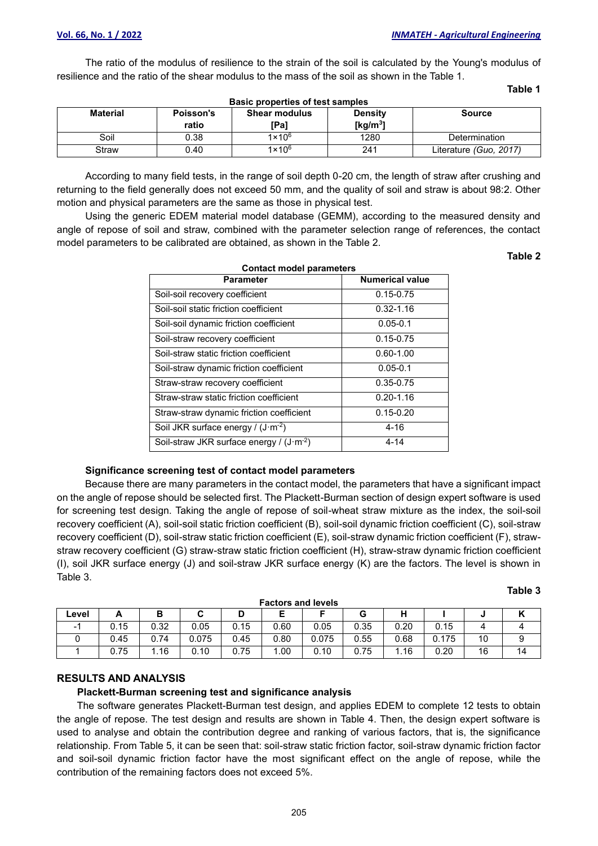The ratio of the modulus of resilience to the strain of the soil is calculated by the Young's modulus of resilience and the ratio of the shear modulus to the mass of the soil as shown in the Table 1.

**Table 1**

| Basic properties of test samples |                                                                      |                 |             |                        |  |  |  |  |  |
|----------------------------------|----------------------------------------------------------------------|-----------------|-------------|------------------------|--|--|--|--|--|
| <b>Material</b>                  | <b>Shear modulus</b><br><b>Density</b><br>Poisson's<br><b>Source</b> |                 |             |                        |  |  |  |  |  |
|                                  | ratio                                                                | [Pa]            | [ $kg/m3$ ] |                        |  |  |  |  |  |
| Soil                             | 0.38                                                                 | $1 \times 10^6$ | 1280        | <b>Determination</b>   |  |  |  |  |  |
| Straw                            | 0.40                                                                 | $1 \times 10^6$ | 241         | Literature (Guo, 2017) |  |  |  |  |  |

According to many field tests, in the range of soil depth 0-20 cm, the length of straw after crushing and returning to the field generally does not exceed 50 mm, and the quality of soil and straw is about 98:2. Other motion and physical parameters are the same as those in physical test.

Using the generic EDEM material model database (GEMM), according to the measured density and angle of repose of soil and straw, combined with the parameter selection range of references, the contact model parameters to be calibrated are obtained, as shown in the Table 2.

**Table 2**

**Table 3**

| <b>Parameter</b>                                   | <b>Numerical value</b> |
|----------------------------------------------------|------------------------|
| Soil-soil recovery coefficient                     | $0.15 - 0.75$          |
| Soil-soil static friction coefficient              | $0.32 - 1.16$          |
| Soil-soil dynamic friction coefficient             | $0.05 - 0.1$           |
| Soil-straw recovery coefficient                    | $0.15 - 0.75$          |
| Soil-straw static friction coefficient             | $0.60 - 1.00$          |
| Soil-straw dynamic friction coefficient            | $0.05 - 0.1$           |
| Straw-straw recovery coefficient                   | 0.35-0.75              |
| Straw-straw static friction coefficient            | $0.20 - 1.16$          |
| Straw-straw dynamic friction coefficient           | $0.15 - 0.20$          |
| Soil JKR surface energy / $(J \cdot m^{-2})$       | 4-16                   |
| Soil-straw JKR surface energy / $(J \cdot m^{-2})$ | $4 - 14$               |

### **Significance screening test of contact model parameters**

Because there are many parameters in the contact model, the parameters that have a significant impact on the angle of repose should be selected first. The Plackett-Burman section of design expert software is used for screening test design. Taking the angle of repose of soil-wheat straw mixture as the index, the soil-soil recovery coefficient (A), soil-soil static friction coefficient (B), soil-soil dynamic friction coefficient (C), soil-straw recovery coefficient (D), soil-straw static friction coefficient (E), soil-straw dynamic friction coefficient (F), strawstraw recovery coefficient (G) straw-straw static friction coefficient (H), straw-straw dynamic friction coefficient (I), soil JKR surface energy (J) and soil-straw JKR surface energy (K) are the factors. The level is shown in Table 3.

| <b>Factors and levels</b> |      |      |       |      |      |       |      |      |       |    |    |
|---------------------------|------|------|-------|------|------|-------|------|------|-------|----|----|
| Level                     |      |      | U     | υ    |      |       |      | п    |       |    |    |
|                           | 0.15 | 0.32 | 0.05  | 0.15 | 0.60 | 0.05  | 0.35 | 0.20 | 0.15  |    |    |
|                           | 0.45 | 0.74 | 0.075 | 0.45 | 0.80 | 0.075 | 0.55 | 0.68 | 0.175 | 10 |    |
|                           | 0.75 | 1.16 | 0.10  | 0.75 | .00  | 0.10  | 0.75 | 1.16 | 0.20  | 16 | 14 |

#### **Factors and levels**

### **RESULTS AND ANALYSIS**

## **Plackett-Burman screening test and significance analysis**

The software generates Plackett-Burman test design, and applies EDEM to complete 12 tests to obtain the angle of repose. The test design and results are shown in Table 4. Then, the design expert software is used to analyse and obtain the contribution degree and ranking of various factors, that is, the significance relationship. From Table 5, it can be seen that: soil-straw static friction factor, soil-straw dynamic friction factor and soil-soil dynamic friction factor have the most significant effect on the angle of repose, while the contribution of the remaining factors does not exceed 5%.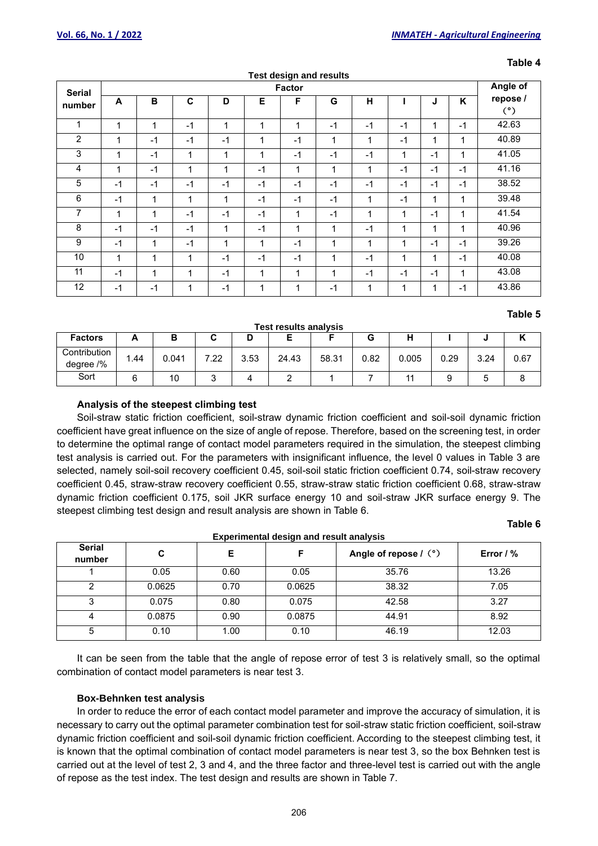| <b>Test design and results</b> |              |              |              |              |             |               |             |              |              |      |              |                 |
|--------------------------------|--------------|--------------|--------------|--------------|-------------|---------------|-------------|--------------|--------------|------|--------------|-----------------|
| <b>Serial</b>                  |              |              |              |              |             | <b>Factor</b> |             |              |              |      |              | Angle of        |
| number                         | A            | В            | C            | D            | Е           | F             | G           | н            |              | J    | K            | repose /<br>(°) |
| 1                              | $\mathbf{1}$ | 1            | $-1$         | $\mathbf{1}$ | $\mathbf 1$ | 1             | $-1$        | $-1$         | $-1$         | 1    | $-1$         | 42.63           |
| $\overline{c}$                 | 1            | $-1$         | $-1$         | $-1$         | 1           | $-1$          | 1           | 1            | $-1$         | 1    | 1            | 40.89           |
| 3                              | 1            | $-1$         | $\mathbf{1}$ | 1            | 1           | $-1$          | $-1$        | $-1$         | 1            | $-1$ | 1            | 41.05           |
| 4                              | 1            | $-1$         | 1            | 1            | $-1$        | $\mathbf{1}$  | 1           | 1            | $-1$         | $-1$ | $-1$         | 41.16           |
| 5                              | $-1$         | $-1$         | $-1$         | $-1$         | $-1$        | $-1$          | $-1$        | $-1$         | $-1$         | $-1$ | $-1$         | 38.52           |
| 6                              | $-1$         | 1            | $\mathbf{1}$ | 1            | $-1$        | $-1$          | $-1$        | 1            | $-1$         | 1    | $\mathbf{1}$ | 39.48           |
| 7                              | 1            | $\mathbf{1}$ | $-1$         | $-1$         | $-1$        | $\mathbf{1}$  | $-1$        | $\mathbf{1}$ | $\mathbf{1}$ | $-1$ | $\mathbf{1}$ | 41.54           |
| 8                              | $-1$         | $-1$         | $-1$         | 1            | $-1$        | $\mathbf 1$   | 1           | $-1$         | $\mathbf 1$  | 1    | $\mathbf{1}$ | 40.96           |
| 9                              | $-1$         | $\mathbf{1}$ | $-1$         | $\mathbf{1}$ | 1           | $-1$          | $\mathbf 1$ | $\mathbf{1}$ | $\mathbf{1}$ | $-1$ | $-1$         | 39.26           |
| 10                             | $\mathbf{1}$ | $\mathbf{1}$ | 1            | -1           | $-1$        | $-1$          | 1           | $-1$         | 1            | 1    | $-1$         | 40.08           |
| 11                             | $-1$         | 1            | 1            | $-1$         | 1           | 1             | 1           | $-1$         | $-1$         | $-1$ | 1            | 43.08           |
| 12                             | $-1$         | $-1$         | 1            | $-1$         | 1           | 1             | $-1$        | 1            | 1            | 1    | $-1$         | 43.86           |

#### **Table 4**

# **Table 5**

#### **Test results analysis**

| <b>Factors</b>            | r    | в     |            | ш    |       |       | u    | п     |      |      | . .  |
|---------------------------|------|-------|------------|------|-------|-------|------|-------|------|------|------|
| Contribution<br>degree /% | . 44 | 0.041 | ר ה<br>.44 | 3.53 | 24.43 | 58.31 | 0.82 | 0.005 | 0.29 | 3.24 | 0.67 |
| Sort                      |      | 10    |            |      |       |       |      |       |      |      |      |

#### **Analysis of the steepest climbing test**

Soil-straw static friction coefficient, soil-straw dynamic friction coefficient and soil-soil dynamic friction coefficient have great influence on the size of angle of repose. Therefore, based on the screening test, in order to determine the optimal range of contact model parameters required in the simulation, the steepest climbing test analysis is carried out. For the parameters with insignificant influence, the level 0 values in Table 3 are selected, namely soil-soil recovery coefficient 0.45, soil-soil static friction coefficient 0.74, soil-straw recovery coefficient 0.45, straw-straw recovery coefficient 0.55, straw-straw static friction coefficient 0.68, straw-straw dynamic friction coefficient 0.175, soil JKR surface energy 10 and soil-straw JKR surface energy 9. The steepest climbing test design and result analysis are shown in Table 6.

## **Table 6**

| <b>Experimental design and result analysis</b> |        |      |        |                       |             |  |  |  |  |
|------------------------------------------------|--------|------|--------|-----------------------|-------------|--|--|--|--|
| <b>Serial</b><br>number                        | C      | Е    |        | Angle of repose / (°) | Error $/$ % |  |  |  |  |
|                                                | 0.05   | 0.60 | 0.05   | 35.76                 | 13.26       |  |  |  |  |
|                                                | 0.0625 | 0.70 | 0.0625 | 38.32                 | 7.05        |  |  |  |  |
|                                                | 0.075  | 0.80 | 0.075  | 42.58                 | 3.27        |  |  |  |  |
| 4                                              | 0.0875 | 0.90 | 0.0875 | 44.91                 | 8.92        |  |  |  |  |
| 5                                              | 0.10   | 1.00 | 0.10   | 46.19                 | 12.03       |  |  |  |  |

It can be seen from the table that the angle of repose error of test 3 is relatively small, so the optimal combination of contact model parameters is near test 3.

#### **Box-Behnken test analysis**

In order to reduce the error of each contact model parameter and improve the accuracy of simulation, it is necessary to carry out the optimal parameter combination test for soil-straw static friction coefficient, soil-straw dynamic friction coefficient and soil-soil dynamic friction coefficient. According to the steepest climbing test, it is known that the optimal combination of contact model parameters is near test 3, so the box Behnken test is carried out at the level of test 2, 3 and 4, and the three factor and three-level test is carried out with the angle of repose as the test index. The test design and results are shown in Table 7.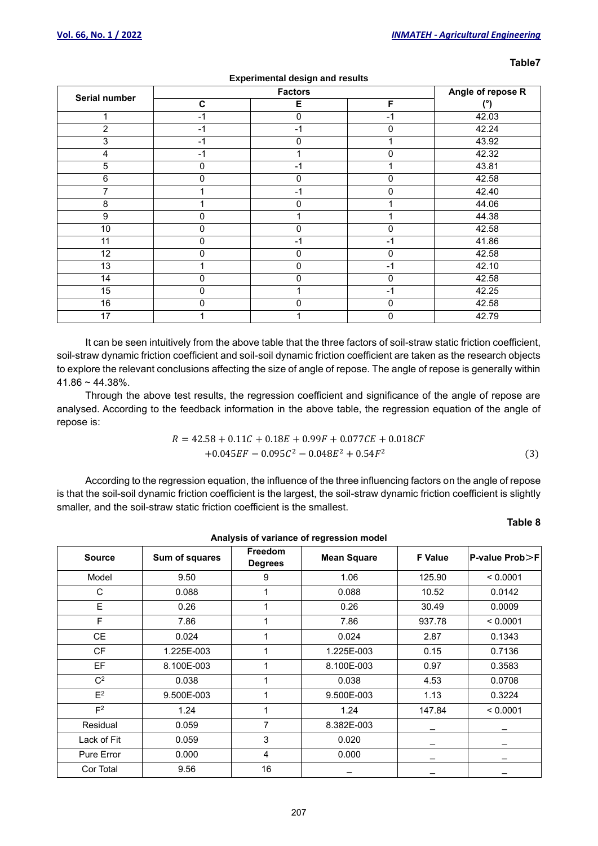| . .<br>×<br>×<br>۰,<br>۰, |
|---------------------------|
|---------------------------|

| Serial number  |              |             | Angle of repose R |                    |  |  |  |  |
|----------------|--------------|-------------|-------------------|--------------------|--|--|--|--|
|                | $\mathbf{C}$ | Е           | F                 | (°)                |  |  |  |  |
| 1              | $-1$         | 0           | $-1$              | 42.03              |  |  |  |  |
| $\overline{2}$ | $-1$         | $-1$        | 0                 | 42.24              |  |  |  |  |
| 3              | $-1$         | 0           |                   | 43.92              |  |  |  |  |
| 4              | $-1$         |             | 0                 | 42.32              |  |  |  |  |
| 5              | $\mathbf 0$  | $-1$        | 1                 | 43.81              |  |  |  |  |
| $\,6$          | $\mathbf 0$  | $\mathbf 0$ | 0                 | 42.58              |  |  |  |  |
| 7              |              | $-1$        | 0                 | 42.40              |  |  |  |  |
| 8              |              | $\Omega$    | 4                 | 44.06              |  |  |  |  |
| 9              | 0            |             | 4                 | 44.38              |  |  |  |  |
| 10             | 0            | 0           | 0                 | 42.58              |  |  |  |  |
| 11             | 0            | $-1$        | $-1$              | $\overline{41.86}$ |  |  |  |  |
| 12             | 0            | $\mathbf 0$ | 0                 | 42.58              |  |  |  |  |
| 13             |              | 0           | $-1$              | 42.10              |  |  |  |  |
| 14             | 0            | 0           | 0                 | 42.58              |  |  |  |  |
| 15             | 0            |             | $-1$              | 42.25              |  |  |  |  |
| 16             | $\mathbf 0$  | 0           | 0                 | 42.58              |  |  |  |  |
| 17             |              |             | 0                 | 42.79              |  |  |  |  |

## **Experimental design and results**

It can be seen intuitively from the above table that the three factors of soil-straw static friction coefficient, soil-straw dynamic friction coefficient and soil-soil dynamic friction coefficient are taken as the research objects to explore the relevant conclusions affecting the size of angle of repose. The angle of repose is generally within  $41.86 - 44.38\%$ .

Through the above test results, the regression coefficient and significance of the angle of repose are analysed. According to the feedback information in the above table, the regression equation of the angle of repose is:

$$
R = 42.58 + 0.11C + 0.18E + 0.99F + 0.077CE + 0.018CF + 0.045EF - 0.095C2 - 0.048E2 + 0.54F2
$$
\n(3)

According to the regression equation, the influence of the three influencing factors on the angle of repose is that the soil-soil dynamic friction coefficient is the largest, the soil-straw dynamic friction coefficient is slightly smaller, and the soil-straw static friction coefficient is the smallest.

# **Table 8**

| Analysis of variance of regression model |                |                                  |                    |                |                |  |  |  |
|------------------------------------------|----------------|----------------------------------|--------------------|----------------|----------------|--|--|--|
| <b>Source</b>                            | Sum of squares | <b>Freedom</b><br><b>Degrees</b> | <b>Mean Square</b> | <b>F</b> Value | P-value Prob>F |  |  |  |
| Model                                    | 9.50           | 9                                | 1.06               | 125.90         | < 0.0001       |  |  |  |
| C                                        | 0.088          | 1                                | 0.088              | 10.52          | 0.0142         |  |  |  |
| E                                        | 0.26           | 1                                | 0.26               | 30.49          | 0.0009         |  |  |  |
| F                                        | 7.86           | 1                                | 7.86               | 937.78         | < 0.0001       |  |  |  |
| <b>CE</b>                                | 0.024          | 1                                | 0.024              | 2.87           | 0.1343         |  |  |  |
| <b>CF</b>                                | 1.225E-003     | 1                                | 1.225E-003         | 0.15           | 0.7136         |  |  |  |
| EF                                       | 8.100E-003     | 1                                | 8.100E-003         | 0.97           | 0.3583         |  |  |  |
| $C^2$                                    | 0.038          |                                  | 0.038              | 4.53           | 0.0708         |  |  |  |
| $E^2$                                    | 9.500E-003     | $\mathbf 1$                      | 9.500E-003         | 1.13           | 0.3224         |  |  |  |
| F <sup>2</sup>                           | 1.24           | 1                                | 1.24               | 147.84         | < 0.0001       |  |  |  |
| Residual                                 | 0.059          | 7                                | 8.382E-003         |                |                |  |  |  |
| Lack of Fit                              | 0.059          | 3                                | 0.020              |                |                |  |  |  |
| Pure Error                               | 0.000          | $\overline{4}$                   | 0.000              |                |                |  |  |  |
| Cor Total                                | 9.56           | 16                               |                    |                |                |  |  |  |

207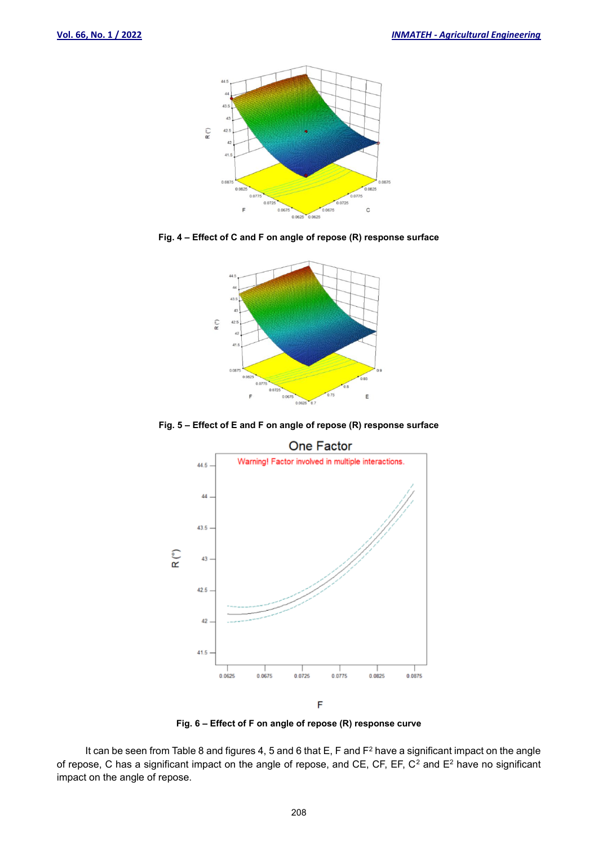

**Fig. 4 – Effect of C and F on angle of repose (R) response surface**



**Fig. 5 – Effect of E and F on angle of repose (R) response surface**



**Fig. 6 – Effect of F on angle of repose (R) response curve**

It can be seen from Table 8 and figures 4, 5 and 6 that E, F and F<sup>2</sup> have a significant impact on the angle of repose, C has a significant impact on the angle of repose, and CE, CF, EF, C<sup>2</sup> and E<sup>2</sup> have no significant impact on the angle of repose.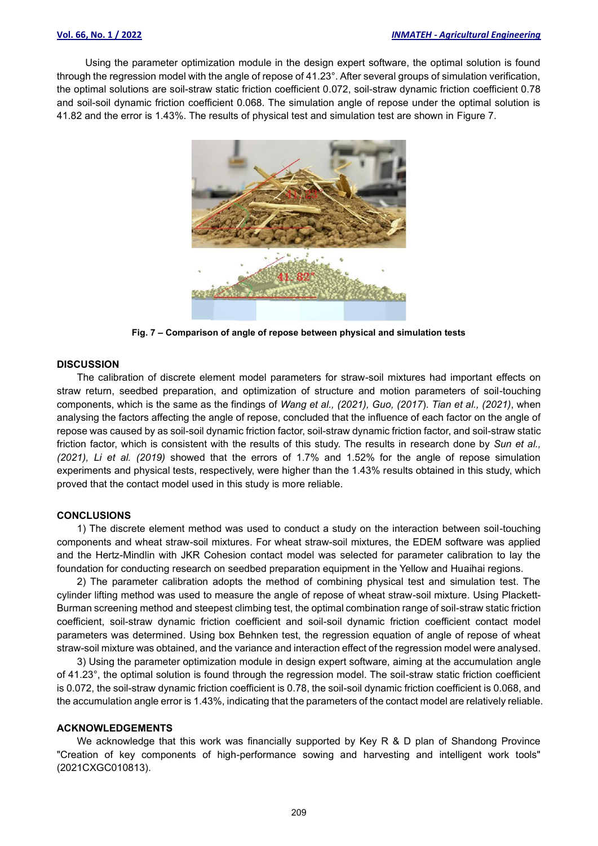Using the parameter optimization module in the design expert software, the optimal solution is found through the regression model with the angle of repose of 41.23°. After several groups of simulation verification, the optimal solutions are soil-straw static friction coefficient 0.072, soil-straw dynamic friction coefficient 0.78 and soil-soil dynamic friction coefficient 0.068. The simulation angle of repose under the optimal solution is 41.82 and the error is 1.43%. The results of physical test and simulation test are shown in Figure 7.



**Fig. 7 – Comparison of angle of repose between physical and simulation tests**

#### **DISCUSSION**

The calibration of discrete element model parameters for straw-soil mixtures had important effects on straw return, seedbed preparation, and optimization of structure and motion parameters of soil-touching components, which is the same as the findings of *Wang et al., (2021), Guo, (2017*). *Tian et al., (2021)*, when analysing the factors affecting the angle of repose, concluded that the influence of each factor on the angle of repose was caused by as soil-soil dynamic friction factor, soil-straw dynamic friction factor, and soil-straw static friction factor, which is consistent with the results of this study. The results in research done by *Sun et al., (2021), Li et al. (2019)* showed that the errors of 1.7% and 1.52% for the angle of repose simulation experiments and physical tests, respectively, were higher than the 1.43% results obtained in this study, which proved that the contact model used in this study is more reliable.

#### **CONCLUSIONS**

1) The discrete element method was used to conduct a study on the interaction between soil-touching components and wheat straw-soil mixtures. For wheat straw-soil mixtures, the EDEM software was applied and the Hertz-Mindlin with JKR Cohesion contact model was selected for parameter calibration to lay the foundation for conducting research on seedbed preparation equipment in the Yellow and Huaihai regions.

2) The parameter calibration adopts the method of combining physical test and simulation test. The cylinder lifting method was used to measure the angle of repose of wheat straw-soil mixture. Using Plackett-Burman screening method and steepest climbing test, the optimal combination range of soil-straw static friction coefficient, soil-straw dynamic friction coefficient and soil-soil dynamic friction coefficient contact model parameters was determined. Using box Behnken test, the regression equation of angle of repose of wheat straw-soil mixture was obtained, and the variance and interaction effect of the regression model were analysed.

3) Using the parameter optimization module in design expert software, aiming at the accumulation angle of 41.23°, the optimal solution is found through the regression model. The soil-straw static friction coefficient is 0.072, the soil-straw dynamic friction coefficient is 0.78, the soil-soil dynamic friction coefficient is 0.068, and the accumulation angle error is 1.43%, indicating that the parameters of the contact model are relatively reliable.

#### **ACKNOWLEDGEMENTS**

We acknowledge that this work was financially supported by Key R & D plan of Shandong Province "Creation of key components of high-performance sowing and harvesting and intelligent work tools" (2021CXGC010813).